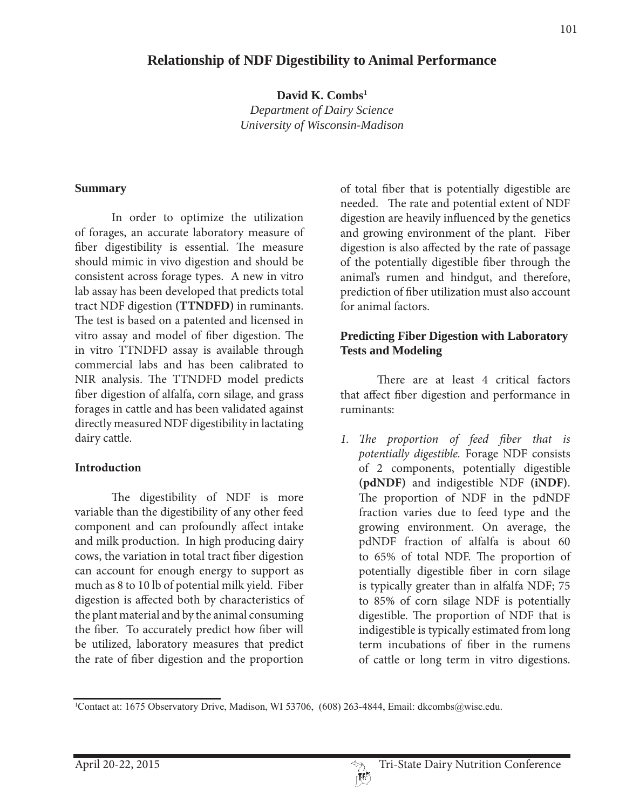# **Relationship of NDF Digestibility to Animal Performance**

**David K. Combs1**

*Department of Dairy Science University of Wisconsin-Madison*

#### **Summary**

 In order to optimize the utilization of forages, an accurate laboratory measure of fiber digestibility is essential. The measure should mimic in vivo digestion and should be consistent across forage types. A new in vitro lab assay has been developed that predicts total tract NDF digestion **(TTNDFD)** in ruminants. The test is based on a patented and licensed in vitro assay and model of fiber digestion. The in vitro TTNDFD assay is available through commercial labs and has been calibrated to NIR analysis. The TTNDFD model predicts fiber digestion of alfalfa, corn silage, and grass forages in cattle and has been validated against directly measured NDF digestibility in lactating dairy cattle.

### **Introduction**

 The digestibility of NDF is more variable than the digestibility of any other feed component and can profoundly affect intake and milk production. In high producing dairy cows, the variation in total tract fiber digestion can account for enough energy to support as much as 8 to 10 lb of potential milk yield. Fiber digestion is affected both by characteristics of the plant material and by the animal consuming the fiber. To accurately predict how fiber will be utilized, laboratory measures that predict the rate of fiber digestion and the proportion

of total fiber that is potentially digestible are needed. The rate and potential extent of NDF digestion are heavily influenced by the genetics and growing environment of the plant. Fiber digestion is also affected by the rate of passage of the potentially digestible fiber through the animal's rumen and hindgut, and therefore, prediction of fiber utilization must also account for animal factors.

### **Predicting Fiber Digestion with Laboratory Tests and Modeling**

 There are at least 4 critical factors that affect fiber digestion and performance in ruminants:

*1. The proportion of feed fiber that is potentially digestible.* Forage NDF consists of 2 components, potentially digestible **(pdNDF)** and indigestible NDF **(iNDF)**. The proportion of NDF in the pdNDF fraction varies due to feed type and the growing environment. On average, the pdNDF fraction of alfalfa is about 60 to 65% of total NDF. The proportion of potentially digestible fiber in corn silage is typically greater than in alfalfa NDF; 75 to 85% of corn silage NDF is potentially digestible. The proportion of NDF that is indigestible is typically estimated from long term incubations of fiber in the rumens of cattle or long term in vitro digestions.

Contact at: 1675 Observatory Drive, Madison, WI 53706, (608) 263-4844, Email: dkcombs@wisc.edu.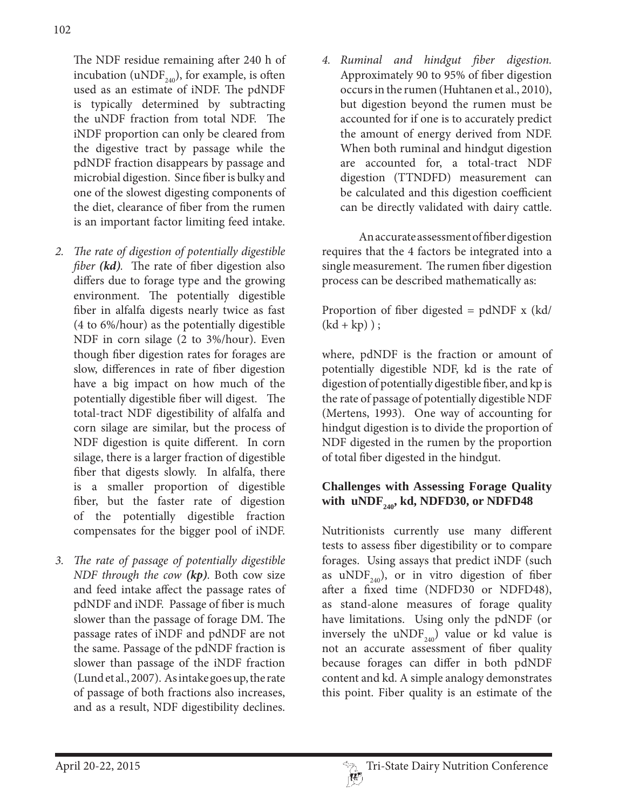The NDF residue remaining after 240 h of incubation (uNDF<sub>240</sub>), for example, is often used as an estimate of iNDF. The pdNDF is typically determined by subtracting the uNDF fraction from total NDF. The iNDF proportion can only be cleared from the digestive tract by passage while the pdNDF fraction disappears by passage and microbial digestion. Since fiber is bulky and one of the slowest digesting components of the diet, clearance of fiber from the rumen is an important factor limiting feed intake.

- *2. The rate of digestion of potentially digestible fiber* **(kd)***.* The rate of fiber digestion also differs due to forage type and the growing environment. The potentially digestible fiber in alfalfa digests nearly twice as fast (4 to 6%/hour) as the potentially digestible NDF in corn silage (2 to 3%/hour). Even though fiber digestion rates for forages are slow, differences in rate of fiber digestion have a big impact on how much of the potentially digestible fiber will digest. The total-tract NDF digestibility of alfalfa and corn silage are similar, but the process of NDF digestion is quite different. In corn silage, there is a larger fraction of digestible fiber that digests slowly. In alfalfa, there is a smaller proportion of digestible fiber, but the faster rate of digestion of the potentially digestible fraction compensates for the bigger pool of iNDF.
- *3. The rate of passage of potentially digestible NDF through the cow* **(kp)**. Both cow size and feed intake affect the passage rates of pdNDF and iNDF. Passage of fiber is much slower than the passage of forage DM. The passage rates of iNDF and pdNDF are not the same. Passage of the pdNDF fraction is slower than passage of the iNDF fraction (Lund et al., 2007). As intake goes up, the rate of passage of both fractions also increases, and as a result, NDF digestibility declines.

*4. Ruminal and hindgut fiber digestion.*  Approximately 90 to 95% of fiber digestion occurs in the rumen (Huhtanen et al., 2010), but digestion beyond the rumen must be accounted for if one is to accurately predict the amount of energy derived from NDF. When both ruminal and hindgut digestion are accounted for, a total-tract NDF digestion (TTNDFD) measurement can be calculated and this digestion coefficient can be directly validated with dairy cattle.

 An accurate assessment of fiber digestion requires that the 4 factors be integrated into a single measurement. The rumen fiber digestion process can be described mathematically as:

Proportion of fiber digested = pdNDF x (kd/  $(kd + kp)$  );

where, pdNDF is the fraction or amount of potentially digestible NDF, kd is the rate of digestion of potentially digestible fiber, and kp is the rate of passage of potentially digestible NDF (Mertens, 1993). One way of accounting for hindgut digestion is to divide the proportion of NDF digested in the rumen by the proportion of total fiber digested in the hindgut.

## **Challenges with Assessing Forage Quality**  with  $\text{uNDF}_{240}$ , kd, NDFD30, or NDFD48

Nutritionists currently use many different tests to assess fiber digestibility or to compare forages. Using assays that predict iNDF (such as uNDF<sub>240</sub>), or in vitro digestion of fiber after a fixed time (NDFD30 or NDFD48), as stand-alone measures of forage quality have limitations. Using only the pdNDF (or inversely the uNDF<sub>240</sub>) value or kd value is not an accurate assessment of fiber quality because forages can differ in both pdNDF content and kd. A simple analogy demonstrates this point. Fiber quality is an estimate of the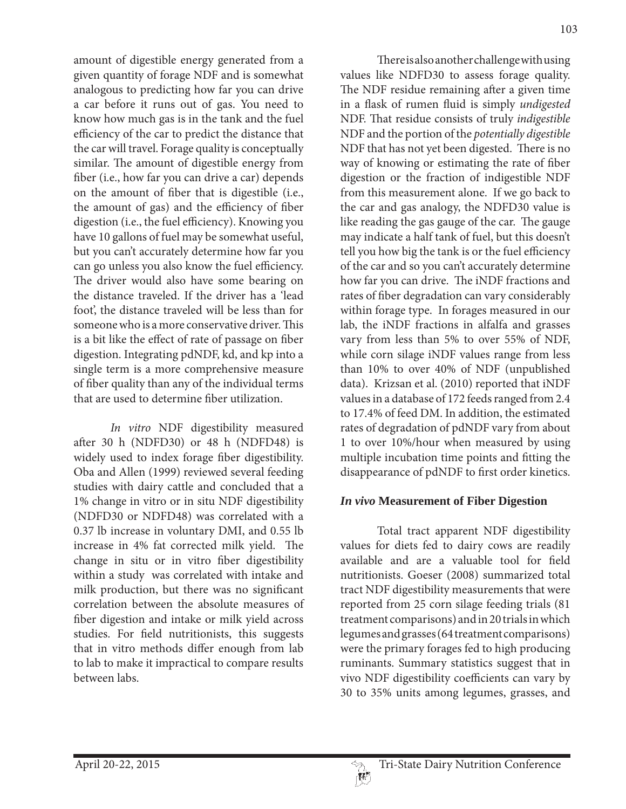amount of digestible energy generated from a given quantity of forage NDF and is somewhat analogous to predicting how far you can drive a car before it runs out of gas. You need to know how much gas is in the tank and the fuel efficiency of the car to predict the distance that the car will travel. Forage quality is conceptually similar. The amount of digestible energy from fiber (i.e., how far you can drive a car) depends on the amount of fiber that is digestible (i.e., the amount of gas) and the efficiency of fiber digestion (i.e., the fuel efficiency). Knowing you have 10 gallons of fuel may be somewhat useful, but you can't accurately determine how far you can go unless you also know the fuel efficiency. The driver would also have some bearing on the distance traveled. If the driver has a 'lead foot', the distance traveled will be less than for someone who is a more conservative driver. This is a bit like the effect of rate of passage on fiber digestion. Integrating pdNDF, kd, and kp into a single term is a more comprehensive measure of fiber quality than any of the individual terms that are used to determine fiber utilization.

*In vitro* NDF digestibility measured after 30 h (NDFD30) or 48 h (NDFD48) is widely used to index forage fiber digestibility. Oba and Allen (1999) reviewed several feeding studies with dairy cattle and concluded that a 1% change in vitro or in situ NDF digestibility (NDFD30 or NDFD48) was correlated with a 0.37 lb increase in voluntary DMI, and 0.55 lb increase in 4% fat corrected milk yield. The change in situ or in vitro fiber digestibility within a study was correlated with intake and milk production, but there was no significant correlation between the absolute measures of fiber digestion and intake or milk yield across studies. For field nutritionists, this suggests that in vitro methods differ enough from lab to lab to make it impractical to compare results between labs.

 There is also another challenge with using values like NDFD30 to assess forage quality. The NDF residue remaining after a given time in a flask of rumen fluid is simply *undigested* NDF. That residue consists of truly *indigestible* NDF and the portion of the *potentially digestible* NDF that has not yet been digested. There is no way of knowing or estimating the rate of fiber digestion or the fraction of indigestible NDF from this measurement alone. If we go back to the car and gas analogy, the NDFD30 value is like reading the gas gauge of the car. The gauge may indicate a half tank of fuel, but this doesn't tell you how big the tank is or the fuel efficiency of the car and so you can't accurately determine how far you can drive. The iNDF fractions and rates of fiber degradation can vary considerably within forage type. In forages measured in our lab, the iNDF fractions in alfalfa and grasses vary from less than 5% to over 55% of NDF, while corn silage iNDF values range from less than 10% to over 40% of NDF (unpublished data). Krizsan et al. (2010) reported that iNDF values in a database of 172 feeds ranged from 2.4 to 17.4% of feed DM. In addition, the estimated rates of degradation of pdNDF vary from about 1 to over 10%/hour when measured by using multiple incubation time points and fitting the disappearance of pdNDF to first order kinetics.

### *In vivo* **Measurement of Fiber Digestion**

 Total tract apparent NDF digestibility values for diets fed to dairy cows are readily available and are a valuable tool for field nutritionists. Goeser (2008) summarized total tract NDF digestibility measurements that were reported from 25 corn silage feeding trials (81 treatment comparisons) and in 20 trials in which legumes and grasses (64 treatment comparisons) were the primary forages fed to high producing ruminants. Summary statistics suggest that in vivo NDF digestibility coefficients can vary by 30 to 35% units among legumes, grasses, and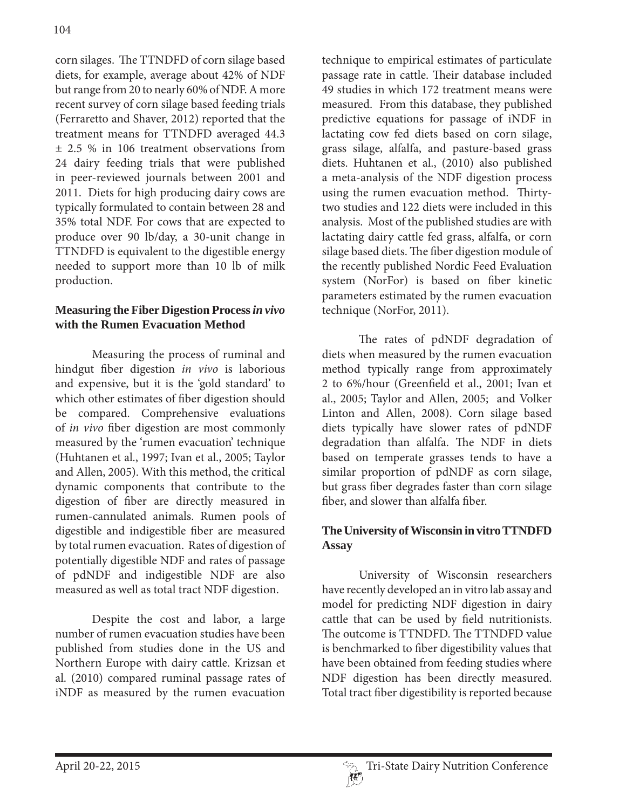corn silages. The TTNDFD of corn silage based diets, for example, average about 42% of NDF but range from 20 to nearly 60% of NDF. A more recent survey of corn silage based feeding trials (Ferraretto and Shaver, 2012) reported that the treatment means for TTNDFD averaged 44.3 ± 2.5 % in 106 treatment observations from 24 dairy feeding trials that were published in peer-reviewed journals between 2001 and 2011. Diets for high producing dairy cows are typically formulated to contain between 28 and 35% total NDF. For cows that are expected to produce over 90 lb/day, a 30-unit change in TTNDFD is equivalent to the digestible energy needed to support more than 10 lb of milk production.

## **Measuring the Fiber Digestion Process** *in vivo*  **with the Rumen Evacuation Method**

 Measuring the process of ruminal and hindgut fiber digestion *in vivo* is laborious and expensive, but it is the 'gold standard' to which other estimates of fiber digestion should be compared. Comprehensive evaluations of *in vivo* fiber digestion are most commonly measured by the 'rumen evacuation' technique (Huhtanen et al., 1997; Ivan et al., 2005; Taylor and Allen, 2005). With this method, the critical dynamic components that contribute to the digestion of fiber are directly measured in rumen-cannulated animals. Rumen pools of digestible and indigestible fiber are measured by total rumen evacuation. Rates of digestion of potentially digestible NDF and rates of passage of pdNDF and indigestible NDF are also measured as well as total tract NDF digestion.

 Despite the cost and labor, a large number of rumen evacuation studies have been published from studies done in the US and Northern Europe with dairy cattle. Krizsan et al. (2010) compared ruminal passage rates of iNDF as measured by the rumen evacuation

technique to empirical estimates of particulate passage rate in cattle. Their database included 49 studies in which 172 treatment means were measured. From this database, they published predictive equations for passage of iNDF in lactating cow fed diets based on corn silage, grass silage, alfalfa, and pasture-based grass diets. Huhtanen et al., (2010) also published a meta-analysis of the NDF digestion process using the rumen evacuation method. Thirtytwo studies and 122 diets were included in this analysis. Most of the published studies are with lactating dairy cattle fed grass, alfalfa, or corn silage based diets. The fiber digestion module of the recently published Nordic Feed Evaluation system (NorFor) is based on fiber kinetic parameters estimated by the rumen evacuation technique (NorFor, 2011).

 The rates of pdNDF degradation of diets when measured by the rumen evacuation method typically range from approximately 2 to 6%/hour (Greenfield et al., 2001; Ivan et al., 2005; Taylor and Allen, 2005; and Volker Linton and Allen, 2008). Corn silage based diets typically have slower rates of pdNDF degradation than alfalfa. The NDF in diets based on temperate grasses tends to have a similar proportion of pdNDF as corn silage, but grass fiber degrades faster than corn silage fiber, and slower than alfalfa fiber.

## **The University of Wisconsin in vitro TTNDFD Assay**

 University of Wisconsin researchers have recently developed an in vitro lab assay and model for predicting NDF digestion in dairy cattle that can be used by field nutritionists. The outcome is TTNDFD. The TTNDFD value is benchmarked to fiber digestibility values that have been obtained from feeding studies where NDF digestion has been directly measured. Total tract fiber digestibility is reported because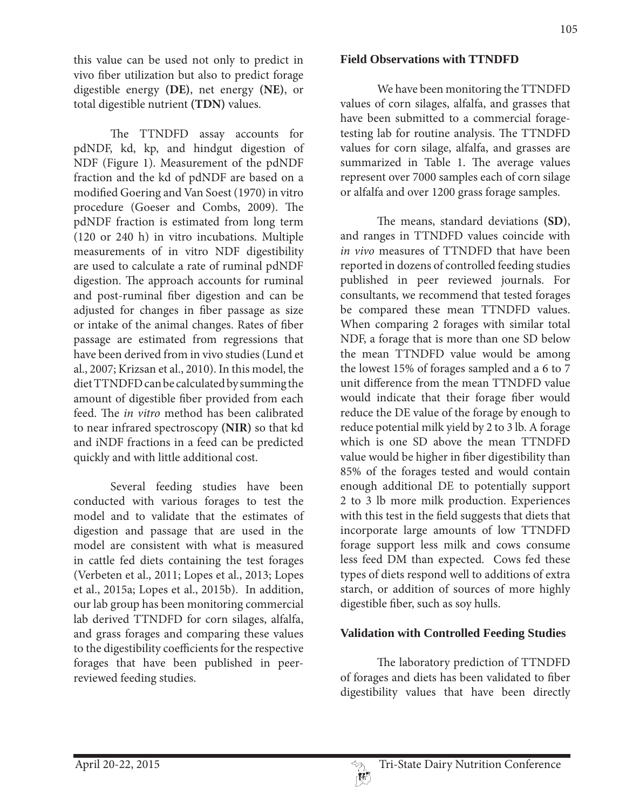this value can be used not only to predict in vivo fiber utilization but also to predict forage digestible energy **(DE)**, net energy **(NE)**, or total digestible nutrient **(TDN)** values.

 The TTNDFD assay accounts for pdNDF, kd, kp, and hindgut digestion of NDF (Figure 1). Measurement of the pdNDF fraction and the kd of pdNDF are based on a modified Goering and Van Soest (1970) in vitro procedure (Goeser and Combs, 2009). The pdNDF fraction is estimated from long term (120 or 240 h) in vitro incubations. Multiple measurements of in vitro NDF digestibility are used to calculate a rate of ruminal pdNDF digestion. The approach accounts for ruminal and post-ruminal fiber digestion and can be adjusted for changes in fiber passage as size or intake of the animal changes. Rates of fiber passage are estimated from regressions that have been derived from in vivo studies (Lund et al., 2007; Krizsan et al., 2010). In this model, the diet TTNDFD can be calculated by summing the amount of digestible fiber provided from each feed. The *in vitro* method has been calibrated to near infrared spectroscopy **(NIR)** so that kd and iNDF fractions in a feed can be predicted quickly and with little additional cost.

 Several feeding studies have been conducted with various forages to test the model and to validate that the estimates of digestion and passage that are used in the model are consistent with what is measured in cattle fed diets containing the test forages (Verbeten et al., 2011; Lopes et al., 2013; Lopes et al., 2015a; Lopes et al., 2015b). In addition, our lab group has been monitoring commercial lab derived TTNDFD for corn silages, alfalfa, and grass forages and comparing these values to the digestibility coefficients for the respective forages that have been published in peerreviewed feeding studies.

### **Field Observations with TTNDFD**

 We have been monitoring the TTNDFD values of corn silages, alfalfa, and grasses that have been submitted to a commercial foragetesting lab for routine analysis. The TTNDFD values for corn silage, alfalfa, and grasses are summarized in Table 1. The average values represent over 7000 samples each of corn silage or alfalfa and over 1200 grass forage samples.

 The means, standard deviations **(SD)**, and ranges in TTNDFD values coincide with *in vivo* measures of TTNDFD that have been reported in dozens of controlled feeding studies published in peer reviewed journals. For consultants, we recommend that tested forages be compared these mean TTNDFD values. When comparing 2 forages with similar total NDF, a forage that is more than one SD below the mean TTNDFD value would be among the lowest 15% of forages sampled and a 6 to 7 unit difference from the mean TTNDFD value would indicate that their forage fiber would reduce the DE value of the forage by enough to reduce potential milk yield by 2 to 3 lb. A forage which is one SD above the mean TTNDFD value would be higher in fiber digestibility than 85% of the forages tested and would contain enough additional DE to potentially support 2 to 3 lb more milk production. Experiences with this test in the field suggests that diets that incorporate large amounts of low TTNDFD forage support less milk and cows consume less feed DM than expected. Cows fed these types of diets respond well to additions of extra starch, or addition of sources of more highly digestible fiber, such as soy hulls.

# **Validation with Controlled Feeding Studies**

 The laboratory prediction of TTNDFD of forages and diets has been validated to fiber digestibility values that have been directly

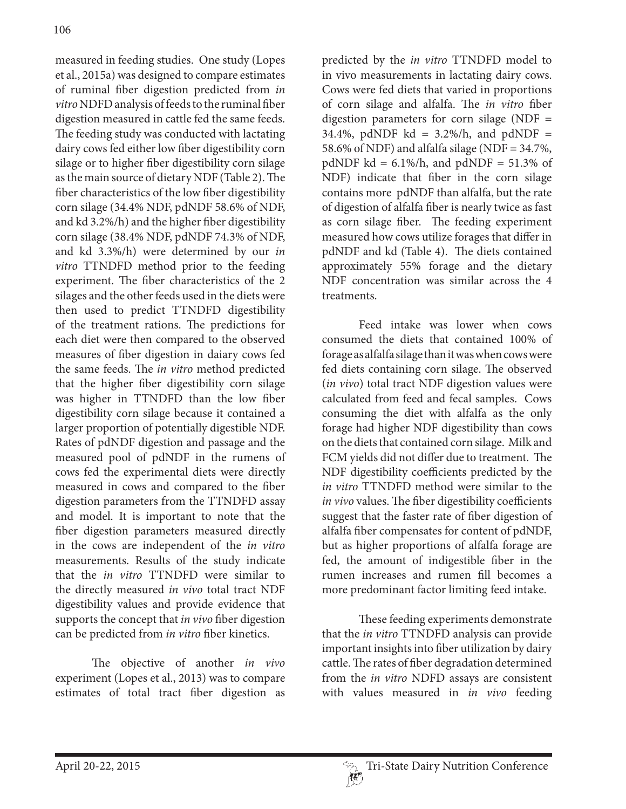measured in feeding studies. One study (Lopes et al., 2015a) was designed to compare estimates of ruminal fiber digestion predicted from *in vitro* NDFD analysis of feeds to the ruminal fiber digestion measured in cattle fed the same feeds. The feeding study was conducted with lactating dairy cows fed either low fiber digestibility corn silage or to higher fiber digestibility corn silage as the main source of dietary NDF (Table 2). The fiber characteristics of the low fiber digestibility corn silage (34.4% NDF, pdNDF 58.6% of NDF, and kd 3.2%/h) and the higher fiber digestibility corn silage (38.4% NDF, pdNDF 74.3% of NDF, and kd 3.3%/h) were determined by our *in vitro* TTNDFD method prior to the feeding experiment. The fiber characteristics of the 2 silages and the other feeds used in the diets were then used to predict TTNDFD digestibility of the treatment rations. The predictions for each diet were then compared to the observed measures of fiber digestion in daiary cows fed the same feeds. The *in vitro* method predicted that the higher fiber digestibility corn silage was higher in TTNDFD than the low fiber digestibility corn silage because it contained a larger proportion of potentially digestible NDF. Rates of pdNDF digestion and passage and the measured pool of pdNDF in the rumens of cows fed the experimental diets were directly measured in cows and compared to the fiber digestion parameters from the TTNDFD assay and model. It is important to note that the fiber digestion parameters measured directly in the cows are independent of the *in vitro*  measurements. Results of the study indicate that the *in vitro* TTNDFD were similar to the directly measured *in vivo* total tract NDF digestibility values and provide evidence that supports the concept that *in vivo* fiber digestion can be predicted from *in vitro* fiber kinetics.

 The objective of another *in vivo* experiment (Lopes et al., 2013) was to compare estimates of total tract fiber digestion as

predicted by the *in vitro* TTNDFD model to in vivo measurements in lactating dairy cows. Cows were fed diets that varied in proportions of corn silage and alfalfa. The *in vitro* fiber digestion parameters for corn silage (NDF = 34.4%, pdNDF kd =  $3.2\%/h$ , and pdNDF = 58.6% of NDF) and alfalfa silage (NDF = 34.7%, pdNDF kd =  $6.1\%/h$ , and pdNDF =  $51.3\%$  of NDF) indicate that fiber in the corn silage contains more pdNDF than alfalfa, but the rate of digestion of alfalfa fiber is nearly twice as fast as corn silage fiber. The feeding experiment measured how cows utilize forages that differ in pdNDF and kd (Table 4). The diets contained approximately 55% forage and the dietary NDF concentration was similar across the 4 treatments.

 Feed intake was lower when cows consumed the diets that contained 100% of forage as alfalfa silage than it was when cows were fed diets containing corn silage. The observed (*in vivo*) total tract NDF digestion values were calculated from feed and fecal samples. Cows consuming the diet with alfalfa as the only forage had higher NDF digestibility than cows on the diets that contained corn silage. Milk and FCM yields did not differ due to treatment. The NDF digestibility coefficients predicted by the *in vitro* TTNDFD method were similar to the *in vivo* values. The fiber digestibility coefficients suggest that the faster rate of fiber digestion of alfalfa fiber compensates for content of pdNDF, but as higher proportions of alfalfa forage are fed, the amount of indigestible fiber in the rumen increases and rumen fill becomes a more predominant factor limiting feed intake.

 These feeding experiments demonstrate that the *in vitro* TTNDFD analysis can provide important insights into fiber utilization by dairy cattle. The rates of fiber degradation determined from the *in vitro* NDFD assays are consistent with values measured in *in vivo* feeding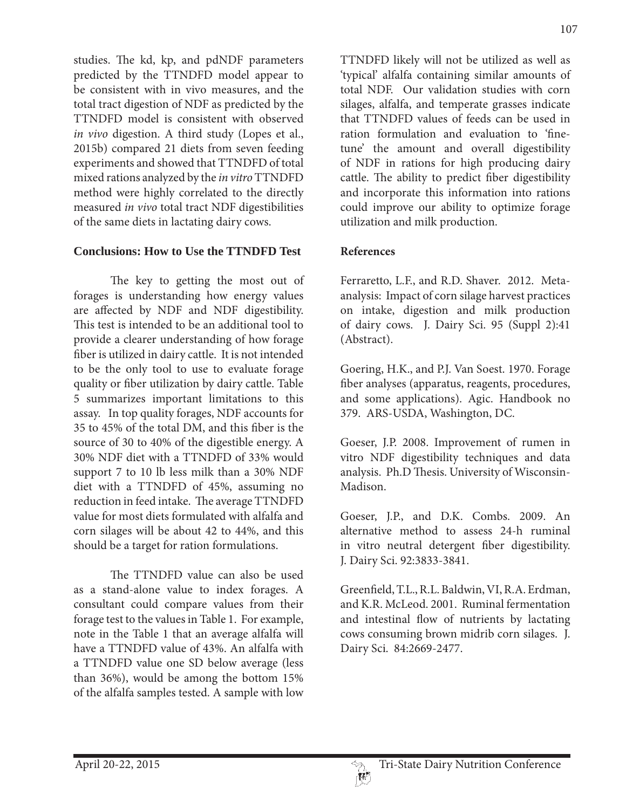studies. The kd, kp, and pdNDF parameters predicted by the TTNDFD model appear to be consistent with in vivo measures, and the total tract digestion of NDF as predicted by the TTNDFD model is consistent with observed *in vivo* digestion. A third study (Lopes et al., 2015b) compared 21 diets from seven feeding experiments and showed that TTNDFD of total mixed rations analyzed by the *in vitro* TTNDFD method were highly correlated to the directly measured *in vivo* total tract NDF digestibilities of the same diets in lactating dairy cows.

### **Conclusions: How to Use the TTNDFD Test**

 The key to getting the most out of forages is understanding how energy values are affected by NDF and NDF digestibility. This test is intended to be an additional tool to provide a clearer understanding of how forage fiber is utilized in dairy cattle. It is not intended to be the only tool to use to evaluate forage quality or fiber utilization by dairy cattle. Table 5 summarizes important limitations to this assay. In top quality forages, NDF accounts for 35 to 45% of the total DM, and this fiber is the source of 30 to 40% of the digestible energy. A 30% NDF diet with a TTNDFD of 33% would support 7 to 10 lb less milk than a 30% NDF diet with a TTNDFD of 45%, assuming no reduction in feed intake. The average TTNDFD value for most diets formulated with alfalfa and corn silages will be about 42 to 44%, and this should be a target for ration formulations.

 The TTNDFD value can also be used as a stand-alone value to index forages. A consultant could compare values from their forage test to the values in Table 1. For example, note in the Table 1 that an average alfalfa will have a TTNDFD value of 43%. An alfalfa with a TTNDFD value one SD below average (less than 36%), would be among the bottom 15% of the alfalfa samples tested. A sample with low

TTNDFD likely will not be utilized as well as 'typical' alfalfa containing similar amounts of total NDF. Our validation studies with corn silages, alfalfa, and temperate grasses indicate that TTNDFD values of feeds can be used in ration formulation and evaluation to 'finetune' the amount and overall digestibility of NDF in rations for high producing dairy cattle. The ability to predict fiber digestibility and incorporate this information into rations could improve our ability to optimize forage utilization and milk production.

### **References**

Ferraretto, L.F., and R.D. Shaver. 2012. Metaanalysis: Impact of corn silage harvest practices on intake, digestion and milk production of dairy cows. J. Dairy Sci. 95 (Suppl 2):41 (Abstract).

Goering, H.K., and P.J. Van Soest. 1970. Forage fiber analyses (apparatus, reagents, procedures, and some applications). Agic. Handbook no 379. ARS-USDA, Washington, DC.

Goeser, J.P. 2008. Improvement of rumen in vitro NDF digestibility techniques and data analysis. Ph.D Thesis. University of Wisconsin-Madison.

Goeser, J.P., and D.K. Combs. 2009. An alternative method to assess 24-h ruminal in vitro neutral detergent fiber digestibility. J. Dairy Sci. 92:3833-3841.

Greenfield, T.L., R.L. Baldwin, VI, R.A. Erdman, and K.R. McLeod. 2001. Ruminal fermentation and intestinal flow of nutrients by lactating cows consuming brown midrib corn silages. J. Dairy Sci. 84:2669-2477.

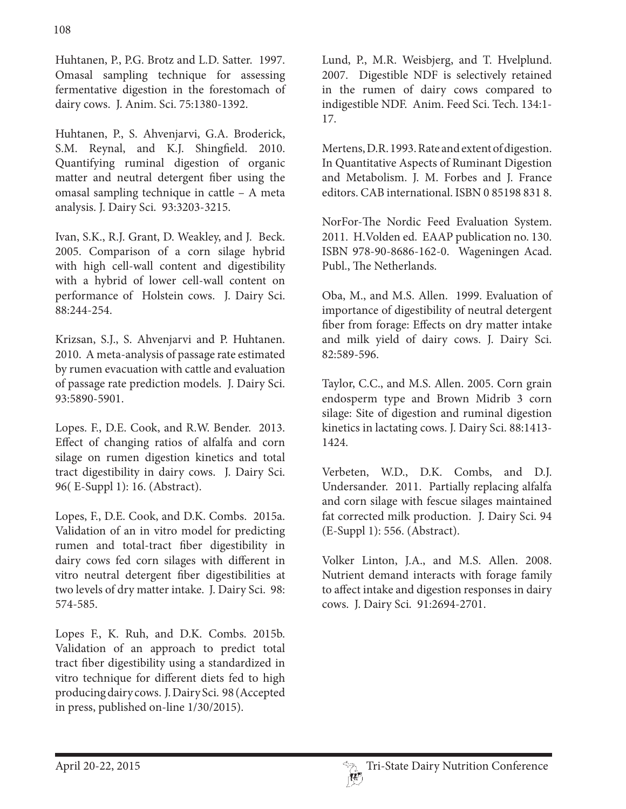Huhtanen, P., P.G. Brotz and L.D. Satter. 1997. Omasal sampling technique for assessing fermentative digestion in the forestomach of dairy cows. J. Anim. Sci. 75:1380-1392.

Huhtanen, P., S. Ahvenjarvi, G.A. Broderick, S.M. Reynal, and K.J. Shingfield. 2010. Quantifying ruminal digestion of organic matter and neutral detergent fiber using the omasal sampling technique in cattle – A meta analysis. J. Dairy Sci. 93:3203-3215.

Ivan, S.K., R.J. Grant, D. Weakley, and J. Beck. 2005. Comparison of a corn silage hybrid with high cell-wall content and digestibility with a hybrid of lower cell-wall content on performance of Holstein cows. J. Dairy Sci. 88:244-254.

Krizsan, S.J., S. Ahvenjarvi and P. Huhtanen. 2010. A meta-analysis of passage rate estimated by rumen evacuation with cattle and evaluation of passage rate prediction models. J. Dairy Sci. 93:5890-5901.

Lopes. F., D.E. Cook, and R.W. Bender. 2013. Effect of changing ratios of alfalfa and corn silage on rumen digestion kinetics and total tract digestibility in dairy cows. J. Dairy Sci. 96( E-Suppl 1): 16. (Abstract).

Lopes, F., D.E. Cook, and D.K. Combs. 2015a. Validation of an in vitro model for predicting rumen and total-tract fiber digestibility in dairy cows fed corn silages with different in vitro neutral detergent fiber digestibilities at two levels of dry matter intake. J. Dairy Sci. 98: 574-585.

Lopes F., K. Ruh, and D.K. Combs. 2015b. Validation of an approach to predict total tract fiber digestibility using a standardized in vitro technique for different diets fed to high producing dairy cows. J. Dairy Sci. 98 (Accepted in press, published on-line 1/30/2015).

Lund, P., M.R. Weisbjerg, and T. Hvelplund. 2007. Digestible NDF is selectively retained in the rumen of dairy cows compared to indigestible NDF. Anim. Feed Sci. Tech. 134:1- 17.

Mertens, D.R. 1993. Rate and extent of digestion. In Quantitative Aspects of Ruminant Digestion and Metabolism. J. M. Forbes and J. France editors. CAB international. ISBN 0 85198 831 8.

NorFor-The Nordic Feed Evaluation System. 2011. H.Volden ed. EAAP publication no. 130. ISBN 978-90-8686-162-0. Wageningen Acad. Publ., The Netherlands.

Oba, M., and M.S. Allen. 1999. Evaluation of importance of digestibility of neutral detergent fiber from forage: Effects on dry matter intake and milk yield of dairy cows. J. Dairy Sci. 82:589-596.

Taylor, C.C., and M.S. Allen. 2005. Corn grain endosperm type and Brown Midrib 3 corn silage: Site of digestion and ruminal digestion kinetics in lactating cows. J. Dairy Sci. 88:1413- 1424.

Verbeten, W.D., D.K. Combs, and D.J. Undersander. 2011. Partially replacing alfalfa and corn silage with fescue silages maintained fat corrected milk production. J. Dairy Sci. 94 (E-Suppl 1): 556. (Abstract).

Volker Linton, J.A., and M.S. Allen. 2008. Nutrient demand interacts with forage family to affect intake and digestion responses in dairy cows. J. Dairy Sci. 91:2694-2701.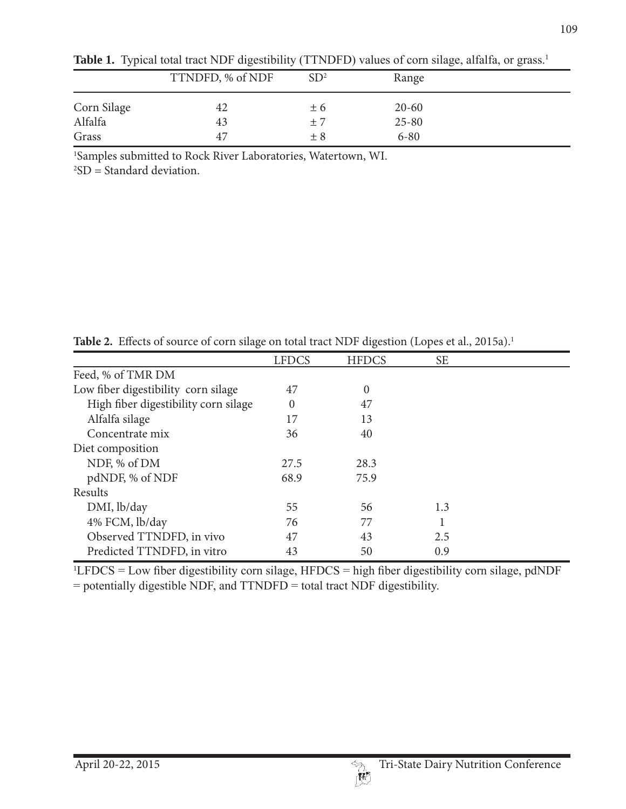|                        | TTNDFD, % of NDF | SD <sup>2</sup> | Range                  |  |
|------------------------|------------------|-----------------|------------------------|--|
| Corn Silage<br>Alfalfa | 42<br>43         | $\pm 6$<br>±7   | $20 - 60$<br>$25 - 80$ |  |
| Grass                  | 47               | ± 8             | $6 - 80$               |  |

Table 1. Typical total tract NDF digestibility (TTNDFD) values of corn silage, alfalfa, or grass.<sup>1</sup>

1 Samples submitted to Rock River Laboratories, Watertown, WI.

 ${}^{2}SD = Standard deviation.$ 

Table 2. Effects of source of corn silage on total tract NDF digestion (Lopes et al., 2015a).<sup>1</sup>

|                                      | <b>LFDCS</b> | <b>HFDCS</b>     | <b>SE</b> |  |
|--------------------------------------|--------------|------------------|-----------|--|
| Feed, % of TMR DM                    |              |                  |           |  |
| Low fiber digestibility corn silage  | 47           | $\boldsymbol{0}$ |           |  |
| High fiber digestibility corn silage | 0            | 47               |           |  |
| Alfalfa silage                       | 17           | 13               |           |  |
| Concentrate mix                      | 36           | 40               |           |  |
| Diet composition                     |              |                  |           |  |
| NDF, % of DM                         | 27.5         | 28.3             |           |  |
| pdNDF, % of NDF                      | 68.9         | 75.9             |           |  |
| Results                              |              |                  |           |  |
| DMI, lb/day                          | 55           | 56               | 1.3       |  |
| 4% FCM, lb/day                       | 76           | 77               |           |  |
| Observed TTNDFD, in vivo             | 47           | 43               | 2.5       |  |
| Predicted TTNDFD, in vitro           | 43           | 50               | 0.9       |  |

 ${}^{1}$ LFDCS = Low fiber digestibility corn silage, HFDCS = high fiber digestibility corn silage, pdNDF = potentially digestible NDF, and  $TTNDFD =$  total tract NDF digestibility.

109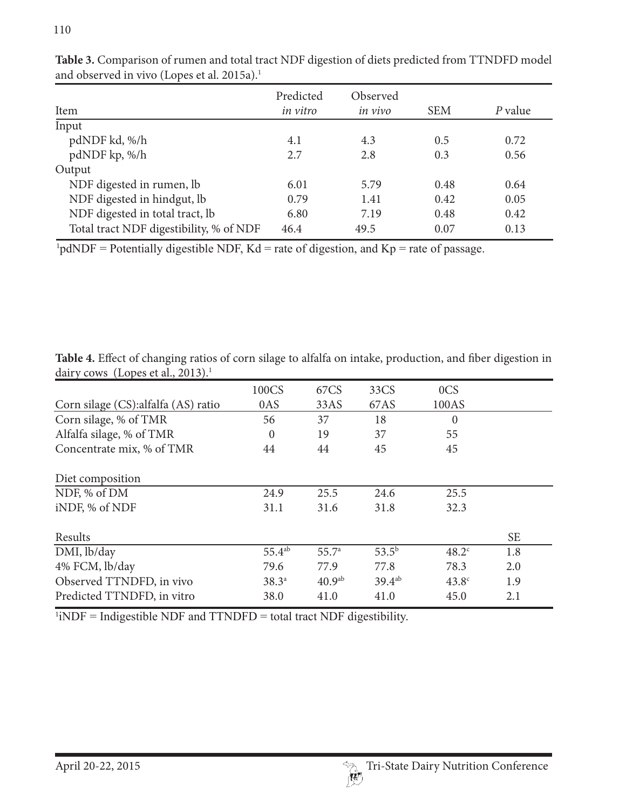| Item                                    | Predicted<br>in vitro | Observed<br>in vivo | <b>SEM</b> | P value |
|-----------------------------------------|-----------------------|---------------------|------------|---------|
| Input                                   |                       |                     |            |         |
| pdNDF kd, %/h                           | 4.1                   | 4.3                 | 0.5        | 0.72    |
| pdNDF kp, %/h                           | 2.7                   | 2.8                 | 0.3        | 0.56    |
| Output                                  |                       |                     |            |         |
| NDF digested in rumen, lb               | 6.01                  | 5.79                | 0.48       | 0.64    |
| NDF digested in hindgut, lb             | 0.79                  | 1.41                | 0.42       | 0.05    |
| NDF digested in total tract, lb         | 6.80                  | 7.19                | 0.48       | 0.42    |
| Total tract NDF digestibility, % of NDF | 46.4                  | 49.5                | 0.07       | 0.13    |

**Table 3.** Comparison of rumen and total tract NDF digestion of diets predicted from TTNDFD model and observed in vivo (Lopes et al. 2015a).<sup>1</sup>

 $1$ pdNDF = Potentially digestible NDF, Kd = rate of digestion, and Kp = rate of passage.

**Table 4.** Effect of changing ratios of corn silage to alfalfa on intake, production, and fiber digestion in dairy cows (Lopes et al., 2013).<sup>1</sup>

|                                      | 100CS       | 67CS               | 33CS        | 0CS               |           |
|--------------------------------------|-------------|--------------------|-------------|-------------------|-----------|
| Corn silage (CS): alfalfa (AS) ratio | 0AS         | 33AS               | 67AS        | 100AS             |           |
| Corn silage, % of TMR                | 56          | 37                 | 18          | $\mathbf{0}$      |           |
| Alfalfa silage, % of TMR             | $\theta$    | 19                 | 37          | 55                |           |
| Concentrate mix, % of TMR            | 44          | 44                 | 45          | 45                |           |
| Diet composition                     |             |                    |             |                   |           |
| NDF, % of DM                         | 24.9        | 25.5               | 24.6        | 25.5              |           |
| iNDF, % of NDF                       | 31.1        | 31.6               | 31.8        | 32.3              |           |
| Results                              |             |                    |             |                   | <b>SE</b> |
| DMI, lb/day                          | $55.4^{ab}$ | 55.7 <sup>a</sup>  | $53.5^{b}$  | $48.2^{\circ}$    | 1.8       |
| 4% FCM, lb/day                       | 79.6        | 77.9               | 77.8        | 78.3              | 2.0       |
| Observed TTNDFD, in vivo             | $38.3^{a}$  | 40.9 <sup>ab</sup> | $39.4^{ab}$ | 43.8 <sup>c</sup> | 1.9       |
| Predicted TTNDFD, in vitro           | 38.0        | 41.0               | 41.0        | 45.0              | 2.1       |

 $\text{1}^{\text{1}}$  iNDF = Indigestible NDF and TTNDFD = total tract NDF digestibility.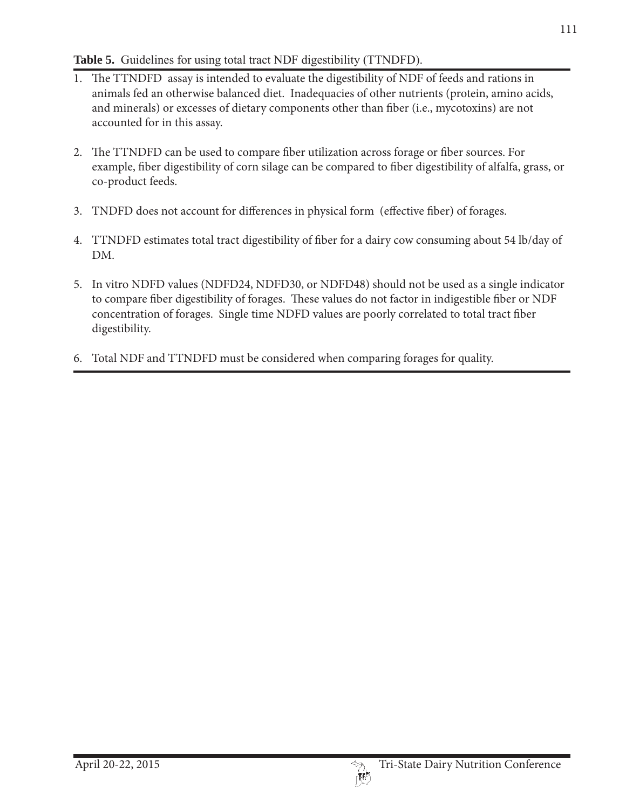# **Table 5.** Guidelines for using total tract NDF digestibility (TTNDFD).

- 1. The TTNDFD assay is intended to evaluate the digestibility of NDF of feeds and rations in animals fed an otherwise balanced diet. Inadequacies of other nutrients (protein, amino acids, and minerals) or excesses of dietary components other than fiber (i.e., mycotoxins) are not accounted for in this assay.
- 2. The TTNDFD can be used to compare fiber utilization across forage or fiber sources. For example, fiber digestibility of corn silage can be compared to fiber digestibility of alfalfa, grass, or co-product feeds.
- 3. TNDFD does not account for differences in physical form (effective fiber) of forages.
- 4. TTNDFD estimates total tract digestibility of fiber for a dairy cow consuming about 54 lb/day of DM.
- 5. In vitro NDFD values (NDFD24, NDFD30, or NDFD48) should not be used as a single indicator to compare fiber digestibility of forages. These values do not factor in indigestible fiber or NDF concentration of forages. Single time NDFD values are poorly correlated to total tract fiber digestibility.
- 6. Total NDF and TTNDFD must be considered when comparing forages for quality.